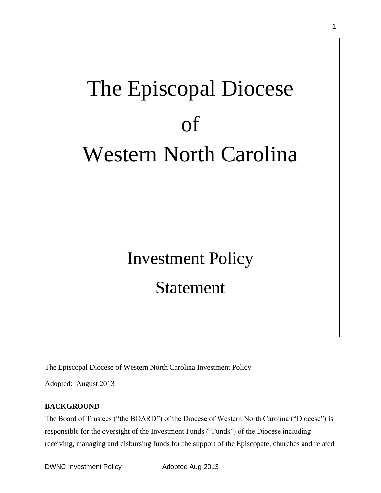# The Episcopal Diocese of Western North Carolina

## Investment Policy Statement

The Episcopal Diocese of Western North Carolina Investment Policy

Adopted: August 2013

## **BACKGROUND**

The Board of Trustees ("the BOARD") of the Diocese of Western North Carolina ("Diocese") is responsible for the oversight of the Investment Funds ("Funds") of the Diocese including receiving, managing and disbursing funds for the support of the Episcopate, churches and related

DWNC Investment Policy **Adopted Aug 2013**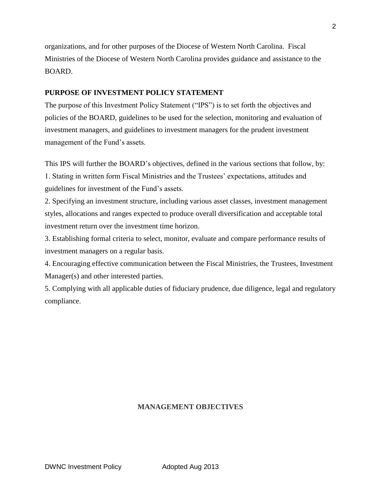organizations, and for other purposes of the Diocese of Western North Carolina. Fiscal Ministries of the Diocese of Western North Carolina provides guidance and assistance to the BOARD.

## **PURPOSE OF INVESTMENT POLICY STATEMENT**

The purpose of this Investment Policy Statement ("IPS") is to set forth the objectives and policies of the BOARD, guidelines to be used for the selection, monitoring and evaluation of investment managers, and guidelines to investment managers for the prudent investment management of the Fund's assets.

This IPS will further the BOARD's objectives, defined in the various sections that follow, by: 1. Stating in written form Fiscal Ministries and the Trustees' expectations, attitudes and guidelines for investment of the Fund's assets.

2. Specifying an investment structure, including various asset classes, investment management styles, allocations and ranges expected to produce overall diversification and acceptable total investment return over the investment time horizon.

3. Establishing formal criteria to select, monitor, evaluate and compare performance results of investment managers on a regular basis.

4. Encouraging effective communication between the Fiscal Ministries, the Trustees, Investment Manager(s) and other interested parties.

5. Complying with all applicable duties of fiduciary prudence, due diligence, legal and regulatory compliance.

## **MANAGEMENT OBJECTIVES**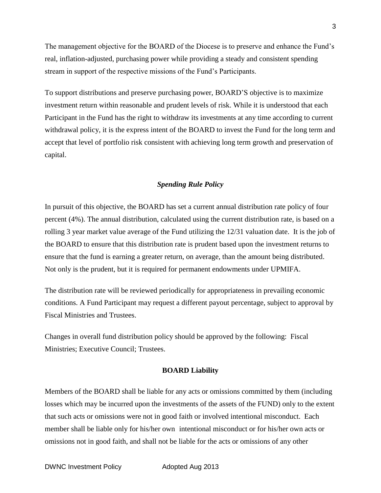The management objective for the BOARD of the Diocese is to preserve and enhance the Fund's real, inflation-adjusted, purchasing power while providing a steady and consistent spending stream in support of the respective missions of the Fund's Participants.

To support distributions and preserve purchasing power, BOARD'S objective is to maximize investment return within reasonable and prudent levels of risk. While it is understood that each Participant in the Fund has the right to withdraw its investments at any time according to current withdrawal policy, it is the express intent of the BOARD to invest the Fund for the long term and accept that level of portfolio risk consistent with achieving long term growth and preservation of capital.

## *Spending Rule Policy*

In pursuit of this objective, the BOARD has set a current annual distribution rate policy of four percent (4%). The annual distribution, calculated using the current distribution rate, is based on a rolling 3 year market value average of the Fund utilizing the 12/31 valuation date. It is the job of the BOARD to ensure that this distribution rate is prudent based upon the investment returns to ensure that the fund is earning a greater return, on average, than the amount being distributed. Not only is the prudent, but it is required for permanent endowments under UPMIFA.

The distribution rate will be reviewed periodically for appropriateness in prevailing economic conditions. A Fund Participant may request a different payout percentage, subject to approval by Fiscal Ministries and Trustees.

Changes in overall fund distribution policy should be approved by the following: Fiscal Ministries; Executive Council; Trustees.

#### **BOARD Liability**

Members of the BOARD shall be liable for any acts or omissions committed by them (including losses which may be incurred upon the investments of the assets of the FUND) only to the extent that such acts or omissions were not in good faith or involved intentional misconduct. Each member shall be liable only for his/her own intentional misconduct or for his/her own acts or omissions not in good faith, and shall not be liable for the acts or omissions of any other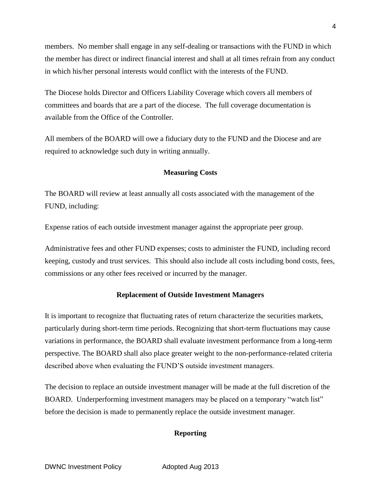members. No member shall engage in any self-dealing or transactions with the FUND in which the member has direct or indirect financial interest and shall at all times refrain from any conduct in which his/her personal interests would conflict with the interests of the FUND.

The Diocese holds Director and Officers Liability Coverage which covers all members of committees and boards that are a part of the diocese. The full coverage documentation is available from the Office of the Controller.

All members of the BOARD will owe a fiduciary duty to the FUND and the Diocese and are required to acknowledge such duty in writing annually.

### **Measuring Costs**

The BOARD will review at least annually all costs associated with the management of the FUND, including:

Expense ratios of each outside investment manager against the appropriate peer group.

Administrative fees and other FUND expenses; costs to administer the FUND, including record keeping, custody and trust services. This should also include all costs including bond costs, fees, commissions or any other fees received or incurred by the manager.

## **Replacement of Outside Investment Managers**

It is important to recognize that fluctuating rates of return characterize the securities markets, particularly during short-term time periods. Recognizing that short-term fluctuations may cause variations in performance, the BOARD shall evaluate investment performance from a long-term perspective. The BOARD shall also place greater weight to the non-performance-related criteria described above when evaluating the FUND'S outside investment managers.

The decision to replace an outside investment manager will be made at the full discretion of the BOARD. Underperforming investment managers may be placed on a temporary "watch list" before the decision is made to permanently replace the outside investment manager.

## **Reporting**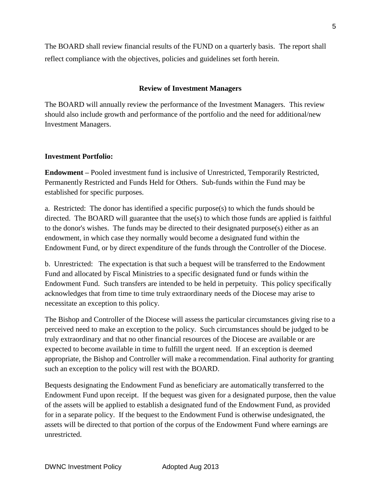The BOARD shall review financial results of the FUND on a quarterly basis. The report shall reflect compliance with the objectives, policies and guidelines set forth herein.

## **Review of Investment Managers**

The BOARD will annually review the performance of the Investment Managers. This review should also include growth and performance of the portfolio and the need for additional/new Investment Managers.

## **Investment Portfolio:**

**Endowment –** Pooled investment fund is inclusive of Unrestricted, Temporarily Restricted, Permanently Restricted and Funds Held for Others. Sub-funds within the Fund may be established for specific purposes.

a. Restricted: The donor has identified a specific purpose(s) to which the funds should be directed. The BOARD will guarantee that the use(s) to which those funds are applied is faithful to the donor's wishes. The funds may be directed to their designated purpose(s) either as an endowment, in which case they normally would become a designated fund within the Endowment Fund, or by direct expenditure of the funds through the Controller of the Diocese.

b. Unrestricted: The expectation is that such a bequest will be transferred to the Endowment Fund and allocated by Fiscal Ministries to a specific designated fund or funds within the Endowment Fund. Such transfers are intended to be held in perpetuity. This policy specifically acknowledges that from time to time truly extraordinary needs of the Diocese may arise to necessitate an exception to this policy.

The Bishop and Controller of the Diocese will assess the particular circumstances giving rise to a perceived need to make an exception to the policy. Such circumstances should be judged to be truly extraordinary and that no other financial resources of the Diocese are available or are expected to become available in time to fulfill the urgent need. If an exception is deemed appropriate, the Bishop and Controller will make a recommendation. Final authority for granting such an exception to the policy will rest with the BOARD.

Bequests designating the Endowment Fund as beneficiary are automatically transferred to the Endowment Fund upon receipt. If the bequest was given for a designated purpose, then the value of the assets will be applied to establish a designated fund of the Endowment Fund, as provided for in a separate policy. If the bequest to the Endowment Fund is otherwise undesignated, the assets will be directed to that portion of the corpus of the Endowment Fund where earnings are unrestricted.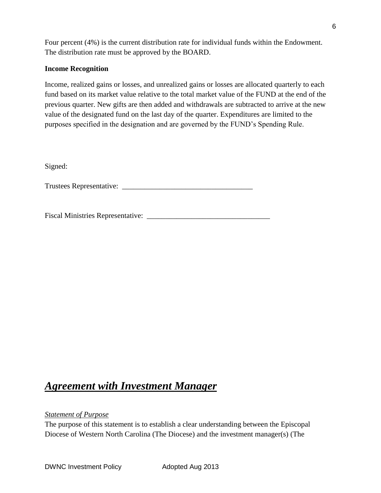Four percent (4%) is the current distribution rate for individual funds within the Endowment. The distribution rate must be approved by the BOARD.

## **Income Recognition**

Income, realized gains or losses, and unrealized gains or losses are allocated quarterly to each fund based on its market value relative to the total market value of the FUND at the end of the previous quarter. New gifts are then added and withdrawals are subtracted to arrive at the new value of the designated fund on the last day of the quarter. Expenditures are limited to the purposes specified in the designation and are governed by the FUND's Spending Rule.

Signed:

Trustees Representative: \_\_\_\_\_\_\_\_\_\_\_\_\_\_\_\_\_\_\_\_\_\_\_\_\_\_\_\_\_\_\_\_\_\_\_

Fiscal Ministries Representative: \_\_\_\_\_\_\_\_\_\_\_\_\_\_\_\_\_\_\_\_\_\_\_\_\_\_\_\_\_\_\_\_\_

## *Agreement with Investment Manager*

## *Statement of Purpose*

The purpose of this statement is to establish a clear understanding between the Episcopal Diocese of Western North Carolina (The Diocese) and the investment manager(s) (The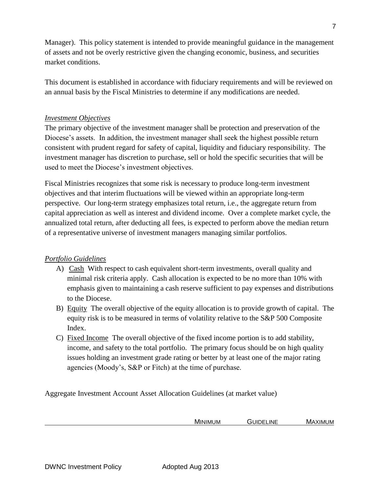Manager). This policy statement is intended to provide meaningful guidance in the management of assets and not be overly restrictive given the changing economic, business, and securities market conditions.

This document is established in accordance with fiduciary requirements and will be reviewed on an annual basis by the Fiscal Ministries to determine if any modifications are needed.

## *Investment Objectives*

The primary objective of the investment manager shall be protection and preservation of the Diocese's assets. In addition, the investment manager shall seek the highest possible return consistent with prudent regard for safety of capital, liquidity and fiduciary responsibility. The investment manager has discretion to purchase, sell or hold the specific securities that will be used to meet the Diocese's investment objectives.

Fiscal Ministries recognizes that some risk is necessary to produce long-term investment objectives and that interim fluctuations will be viewed within an appropriate long-term perspective. Our long-term strategy emphasizes total return, i.e., the aggregate return from capital appreciation as well as interest and dividend income. Over a complete market cycle, the annualized total return, after deducting all fees, is expected to perform above the median return of a representative universe of investment managers managing similar portfolios.

## *Portfolio Guidelines*

- A) Cash With respect to cash equivalent short-term investments, overall quality and minimal risk criteria apply. Cash allocation is expected to be no more than 10% with emphasis given to maintaining a cash reserve sufficient to pay expenses and distributions to the Diocese.
- B) Equity The overall objective of the equity allocation is to provide growth of capital. The equity risk is to be measured in terms of volatility relative to the S&P 500 Composite Index.
- C) Fixed Income The overall objective of the fixed income portion is to add stability, income, and safety to the total portfolio. The primary focus should be on high quality issues holding an investment grade rating or better by at least one of the major rating agencies (Moody's, S&P or Fitch) at the time of purchase.

Aggregate Investment Account Asset Allocation Guidelines (at market value)

| MINIMUM | <b>UIDELINE</b><br>- | $\cdots$<br>.XIMI<br>MA.<br>UM |
|---------|----------------------|--------------------------------|
|         |                      |                                |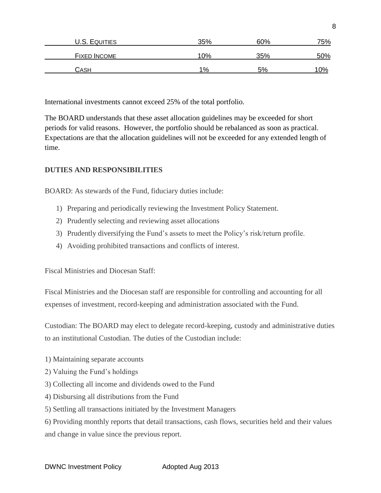| U.S. EQUITIES       | 35% | 60% | 75% |
|---------------------|-----|-----|-----|
| <b>FIXED INCOME</b> | 10% | 35% | 50% |
| CASH                | 1%  | .5% | 0%  |

International investments cannot exceed 25% of the total portfolio.

The BOARD understands that these asset allocation guidelines may be exceeded for short periods for valid reasons. However, the portfolio should be rebalanced as soon as practical. Expectations are that the allocation guidelines will not be exceeded for any extended length of time.

## **DUTIES AND RESPONSIBILITIES**

BOARD: As stewards of the Fund, fiduciary duties include:

- 1) Preparing and periodically reviewing the Investment Policy Statement.
- 2) Prudently selecting and reviewing asset allocations
- 3) Prudently diversifying the Fund's assets to meet the Policy's risk/return profile.
- 4) Avoiding prohibited transactions and conflicts of interest.

Fiscal Ministries and Diocesan Staff:

Fiscal Ministries and the Diocesan staff are responsible for controlling and accounting for all expenses of investment, record-keeping and administration associated with the Fund.

Custodian: The BOARD may elect to delegate record-keeping, custody and administrative duties to an institutional Custodian. The duties of the Custodian include:

- 1) Maintaining separate accounts
- 2) Valuing the Fund's holdings
- 3) Collecting all income and dividends owed to the Fund
- 4) Disbursing all distributions from the Fund
- 5) Settling all transactions initiated by the Investment Managers

6) Providing monthly reports that detail transactions, cash flows, securities held and their values and change in value since the previous report.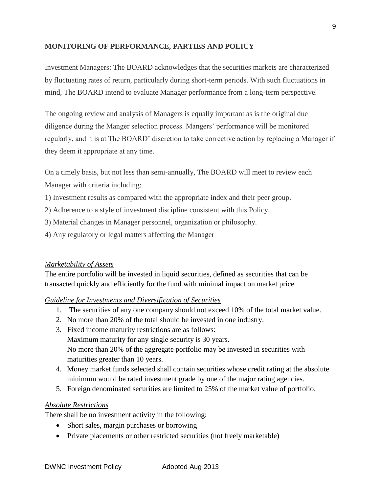## **MONITORING OF PERFORMANCE, PARTIES AND POLICY**

Investment Managers: The BOARD acknowledges that the securities markets are characterized by fluctuating rates of return, particularly during short-term periods. With such fluctuations in mind, The BOARD intend to evaluate Manager performance from a long-term perspective.

The ongoing review and analysis of Managers is equally important as is the original due diligence during the Manger selection process. Mangers' performance will be monitored regularly, and it is at The BOARD' discretion to take corrective action by replacing a Manager if they deem it appropriate at any time.

On a timely basis, but not less than semi-annually, The BOARD will meet to review each

Manager with criteria including:

- 1) Investment results as compared with the appropriate index and their peer group.
- 2) Adherence to a style of investment discipline consistent with this Policy.
- 3) Material changes in Manager personnel, organization or philosophy.
- 4) Any regulatory or legal matters affecting the Manager

## *Marketability of Assets*

The entire portfolio will be invested in liquid securities, defined as securities that can be transacted quickly and efficiently for the fund with minimal impact on market price

## *Guideline for Investments and Diversification of Securities*

- 1. The securities of any one company should not exceed 10% of the total market value.
- 2. No more than 20% of the total should be invested in one industry.
- 3. Fixed income maturity restrictions are as follows: Maximum maturity for any single security is 30 years. No more than 20% of the aggregate portfolio may be invested in securities with maturities greater than 10 years.
- 4. Money market funds selected shall contain securities whose credit rating at the absolute minimum would be rated investment grade by one of the major rating agencies.
- 5. Foreign denominated securities are limited to 25% of the market value of portfolio.

## *Absolute Restrictions*

There shall be no investment activity in the following:

- Short sales, margin purchases or borrowing
- Private placements or other restricted securities (not freely marketable)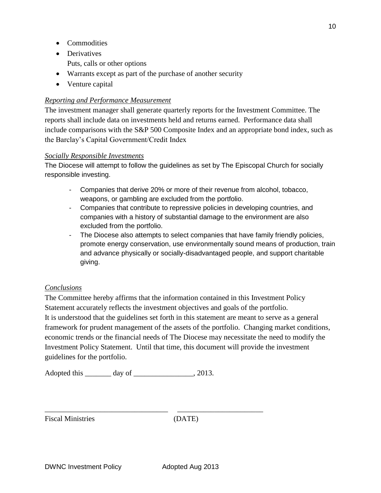- Commodities
- Derivatives Puts, calls or other options
- Warrants except as part of the purchase of another security
- Venture capital

## *Reporting and Performance Measurement*

The investment manager shall generate quarterly reports for the Investment Committee. The reports shall include data on investments held and returns earned. Performance data shall include comparisons with the S&P 500 Composite Index and an appropriate bond index, such as the Barclay's Capital Government/Credit Index

## *Socially Responsible Investments*

The Diocese will attempt to follow the guidelines as set by The Episcopal Church for socially responsible investing.

- Companies that derive 20% or more of their revenue from alcohol, tobacco, weapons, or gambling are excluded from the portfolio.
- Companies that contribute to repressive policies in developing countries, and companies with a history of substantial damage to the environment are also excluded from the portfolio.
- The Diocese also attempts to select companies that have family friendly policies, promote energy conservation, use environmentally sound means of production, train and advance physically or socially-disadvantaged people, and support charitable giving.

## *Conclusions*

The Committee hereby affirms that the information contained in this Investment Policy Statement accurately reflects the investment objectives and goals of the portfolio. It is understood that the guidelines set forth in this statement are meant to serve as a general framework for prudent management of the assets of the portfolio. Changing market conditions, economic trends or the financial needs of The Diocese may necessitate the need to modify the Investment Policy Statement. Until that time, this document will provide the investment guidelines for the portfolio.

Adopted this \_\_\_\_\_\_\_\_ day of \_\_\_\_\_\_\_\_\_\_\_\_\_\_\_\_\_, 2013.

\_\_\_\_\_\_\_\_\_\_\_\_\_\_\_\_\_\_\_\_\_\_\_\_\_\_\_\_\_\_\_\_\_ \_\_\_\_\_\_\_\_\_\_\_\_\_\_\_\_\_\_\_\_\_\_\_

Fiscal Ministries (DATE)